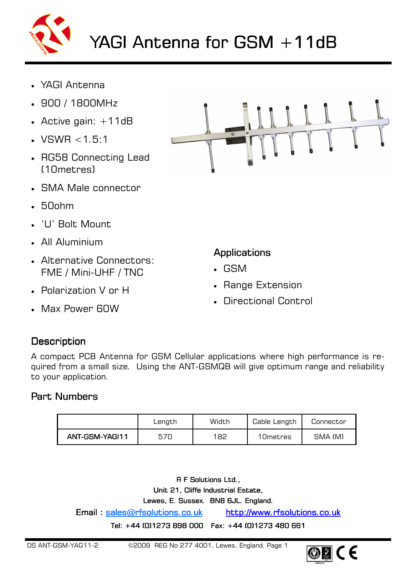

- YAGI Antenna
- 900 / 1800MHz
- Active gain:  $+11dB$
- VSWR  $< 1.5:1$
- RG58 Connecting Lead (10metres)
- SMA Male connector
- 50ohm
- 'U' Bolt Mount
- All Aluminium
- Alternative Connectors: FME / Mini-UHF / TNC
- Polarization V or H
- Max Power 60W



#### **Applications**

- GSM
- Range Extension
- Directional Control

#### **Description**

A compact PCB Antenna for GSM Cellular applications where high performance is required from a small size. Using the ANT-GSMQB will give optimum range and reliability to your application.

# Part Numbers

|                | Length | Width | Cable Length | Connector |
|----------------|--------|-------|--------------|-----------|
| ANT-GSM-YAGI11 | 570    | 182   | 10 metres    | SMA (M)   |

R F Solutions Ltd., Unit 21, Cliffe Industrial Estate, Lewes, E. Sussex. BN8 6JL. England. Email : sales@rfsolutions.co.uk http://www.rfsolutions.co.uk Tel: +44 (0)1273 898 000 Fax: +44 (0)1273 480 661

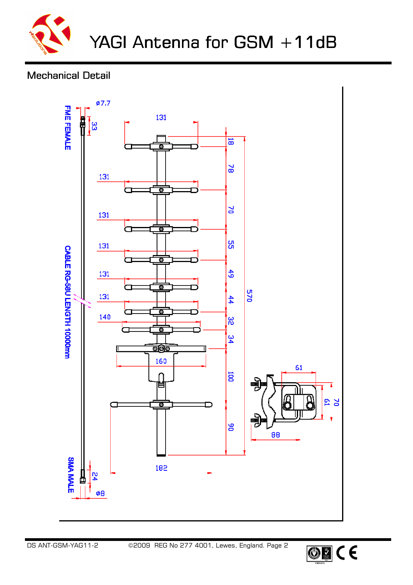

# **Mechanical Detail**



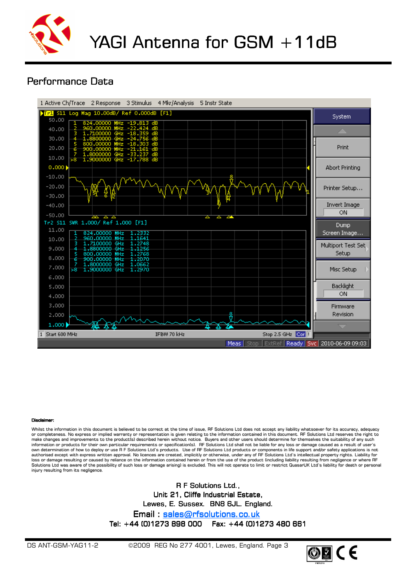

#### Performance Data



#### **Discla**

Whilst the information in this document is believed to be correct at the time of issue, RF Solutions Ltd does not accept any liability whatsoever for its accuracy, adequacy or completeness. No express or implied warranty or representation is given relating to the information contained in this document. RF Solutions Ltd reserves the right to<br>make changes and improvements to the product(s) desc own determination of how to deploy or use R F Solutions Ltd's products. Use of RF Solutions Ltd products or components in life support and/or safety applications is not<br>authorised except with express written approval. No loss or damage resulting or caused by reliance on the information contained herein or from the use of the product (including liability resulting from negligence or where RF Solutions Ltd was aware of the possibility of such loss or damage arising) is excluded. This will not operate to limit or restrict QuasarUK Ltd's liability for death or personal injury resulting from its negligence.

> R F Solutions Ltd., Unit 21, Cliffe Industrial Estate, Lewes, E. Sussex. BN8 6JL. England. Email : sales@rfsolutions.co.uk Tel: +44 (0)1273 898 000 Fax: +44 (0)1273 480 661

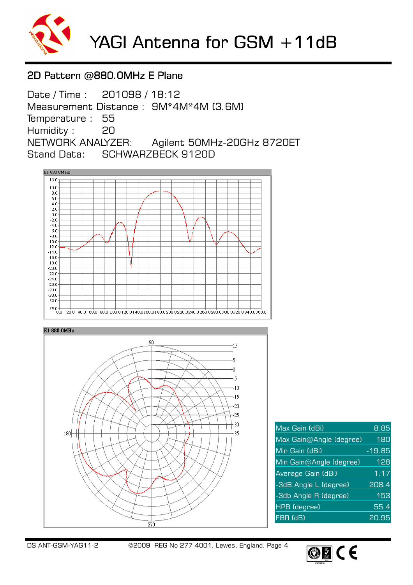

### 2D Pattern @880.0MHz E Plane

Date / Time : 201098 / 18:12 Measurement Distance : 9M\*4M\*4M (3.6M) Temperature : 55 Humidity : 20 NETWORK ANALYZER: Agilent 50MHz-20GHz 8720ET Stand Data: SCHWARZBECK 9120D





| Max Gain (dBi)          | 8.85     |
|-------------------------|----------|
| Max Gain@Angle (degree) | 180      |
| Min Gain (dBi)          | $-19.85$ |
| Min Gain@Angle (degree) | 128      |
| Average Gain (dBi)      | 1.17     |
| -3dB Angle L (degree)   | 208.4    |
| -3db Angle R (degree)   | 153      |
| <b>HPB</b> (degree)     | 55.4     |
| FBR (dB)                | 20.95    |